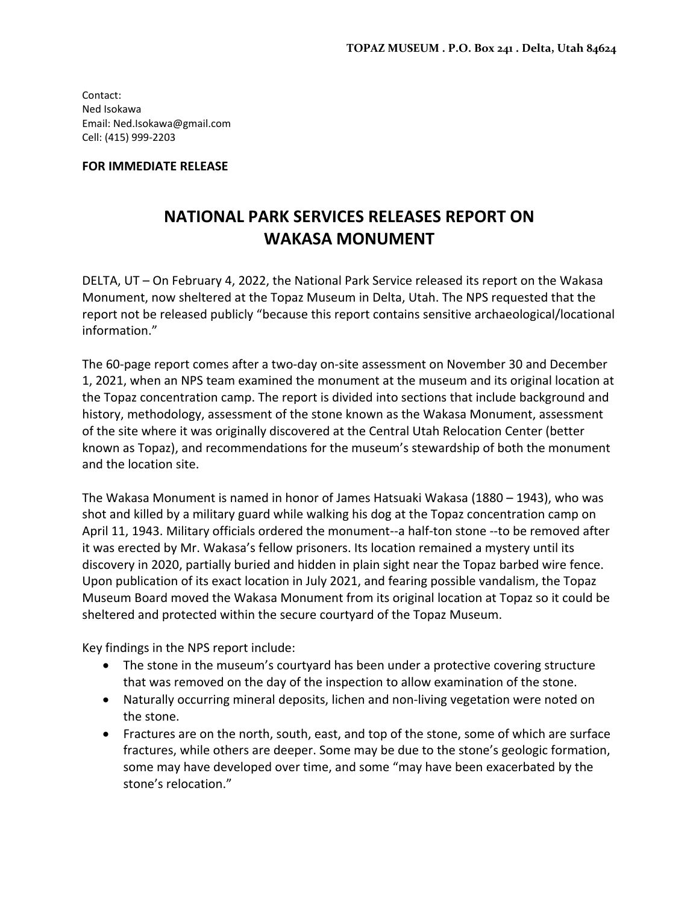Contact: Ned Isokawa Email: Ned.Isokawa@gmail.com Cell: (415) 999‐2203

## **FOR IMMEDIATE RELEASE**

## **NATIONAL PARK SERVICES RELEASES REPORT ON WAKASA MONUMENT**

DELTA, UT – On February 4, 2022, the National Park Service released its report on the Wakasa Monument, now sheltered at the Topaz Museum in Delta, Utah. The NPS requested that the report not be released publicly "because this report contains sensitive archaeological/locational information."

The 60‐page report comes after a two‐day on‐site assessment on November 30 and December 1, 2021, when an NPS team examined the monument at the museum and its original location at the Topaz concentration camp. The report is divided into sections that include background and history, methodology, assessment of the stone known as the Wakasa Monument, assessment of the site where it was originally discovered at the Central Utah Relocation Center (better known as Topaz), and recommendations for the museum's stewardship of both the monument and the location site.

The Wakasa Monument is named in honor of James Hatsuaki Wakasa (1880 – 1943), who was shot and killed by a military guard while walking his dog at the Topaz concentration camp on April 11, 1943. Military officials ordered the monument--a half-ton stone --to be removed after it was erected by Mr. Wakasa's fellow prisoners. Its location remained a mystery until its discovery in 2020, partially buried and hidden in plain sight near the Topaz barbed wire fence. Upon publication of its exact location in July 2021, and fearing possible vandalism, the Topaz Museum Board moved the Wakasa Monument from its original location at Topaz so it could be sheltered and protected within the secure courtyard of the Topaz Museum.

Key findings in the NPS report include:

- The stone in the museum's courtyard has been under a protective covering structure that was removed on the day of the inspection to allow examination of the stone.
- Naturally occurring mineral deposits, lichen and non-living vegetation were noted on the stone.
- Fractures are on the north, south, east, and top of the stone, some of which are surface fractures, while others are deeper. Some may be due to the stone's geologic formation, some may have developed over time, and some "may have been exacerbated by the stone's relocation."